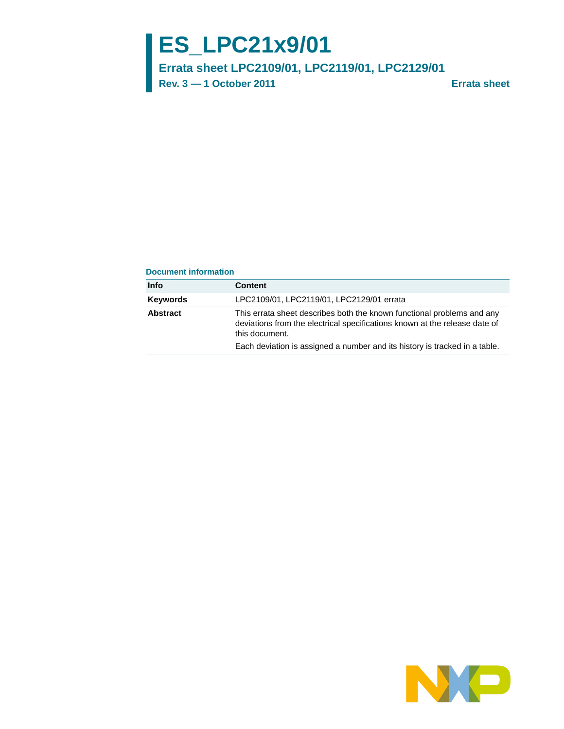# **ES\_LPC21x9/01**

# **Errata sheet LPC2109/01, LPC2119/01, LPC2129/01**

**Rev. 3 — 1 October 2011 Errata sheet**

#### **Document information**

| Info     | <b>Content</b>                                                                                                                                                         |
|----------|------------------------------------------------------------------------------------------------------------------------------------------------------------------------|
| Keywords | LPC2109/01, LPC2119/01, LPC2129/01 errata                                                                                                                              |
| Abstract | This errata sheet describes both the known functional problems and any<br>deviations from the electrical specifications known at the release date of<br>this document. |
|          | Each deviation is assigned a number and its history is tracked in a table.                                                                                             |

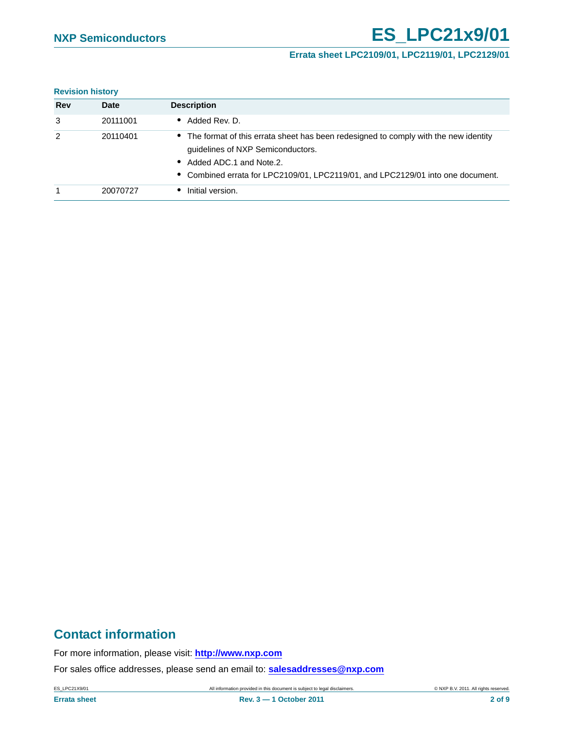# **NXP Semiconductors ES\_LPC21x9/01**

### **Errata sheet LPC2109/01, LPC2119/01, LPC2129/01**

#### **Revision history**

| Rev | <b>Date</b> | <b>Description</b>                                                                                                                                                                                                                         |
|-----|-------------|--------------------------------------------------------------------------------------------------------------------------------------------------------------------------------------------------------------------------------------------|
| 3   | 20111001    | • Added Rev. D.                                                                                                                                                                                                                            |
| 2   | 20110401    | • The format of this errata sheet has been redesigned to comply with the new identity<br>guidelines of NXP Semiconductors.<br>• Added ADC.1 and Note.2.<br>• Combined errata for LPC2109/01, LPC2119/01, and LPC2129/01 into one document. |
|     | 20070727    | Initial version.                                                                                                                                                                                                                           |

# **Contact information**

For more information, please visit: **http://www.nxp.com**

For sales office addresses, please send an email to: **salesaddresses@nxp.com**

ES\_LPC21X9/01 All information provided in this document is subject to legal disclaimers. © NXP B.V. 2011. All rights reserved.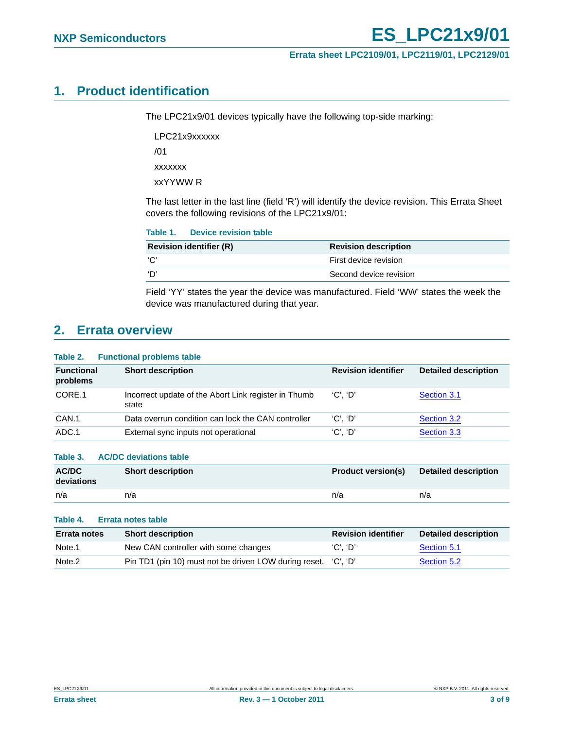# <span id="page-2-0"></span>**1. Product identification**

The LPC21x9/01 devices typically have the following top-side marking:

LPC21x9xxxxxx /01 xxxxxxx

xxYYWW R

The last letter in the last line (field 'R') will identify the device revision. This Errata Sheet covers the following revisions of the LPC21x9/01:

|     | Table 1. Device revision table |                             |
|-----|--------------------------------|-----------------------------|
|     | <b>Revision identifier (R)</b> | <b>Revision description</b> |
| 'C' |                                | First device revision       |
| 'D' |                                | Second device revision      |

Field 'YY' states the year the device was manufactured. Field 'WW' states the week the device was manufactured during that year.

# <span id="page-2-1"></span>**2. Errata overview**

#### **Table 2. Functional problems table**

| <b>Functional</b><br>problems | <b>Short description</b>                                      | <b>Revision identifier</b> | <b>Detailed description</b> |
|-------------------------------|---------------------------------------------------------------|----------------------------|-----------------------------|
| CORE.1                        | Incorrect update of the Abort Link register in Thumb<br>state | 'C'. 'D'                   | Section 3.1                 |
| CAN.1                         | Data overrun condition can lock the CAN controller            | $'C'.$ $'D'$               | Section 3.2                 |
| ADC.1                         | External sync inputs not operational                          | $'C'.$ $'D'$               | Section 3.3                 |

#### **Table 3. AC/DC deviations table**

| <b>AC/DC</b><br>deviations | <b>Short description</b> | <b>Product version(s)</b> | <b>Detailed description</b> |
|----------------------------|--------------------------|---------------------------|-----------------------------|
| n/a                        | n/a                      | n/a                       | n/a                         |

#### **Table 4. Errata notes table**

| <b>Errata notes</b> | <b>Short description</b>                                       | <b>Revision identifier</b> | <b>Detailed description</b> |
|---------------------|----------------------------------------------------------------|----------------------------|-----------------------------|
| Note.1              | New CAN controller with some changes                           | 'C'. 'D'                   | Section 5.1                 |
| Note <sub>.2</sub>  | Pin TD1 (pin 10) must not be driven LOW during reset. 'C', 'D' |                            | Section 5.2                 |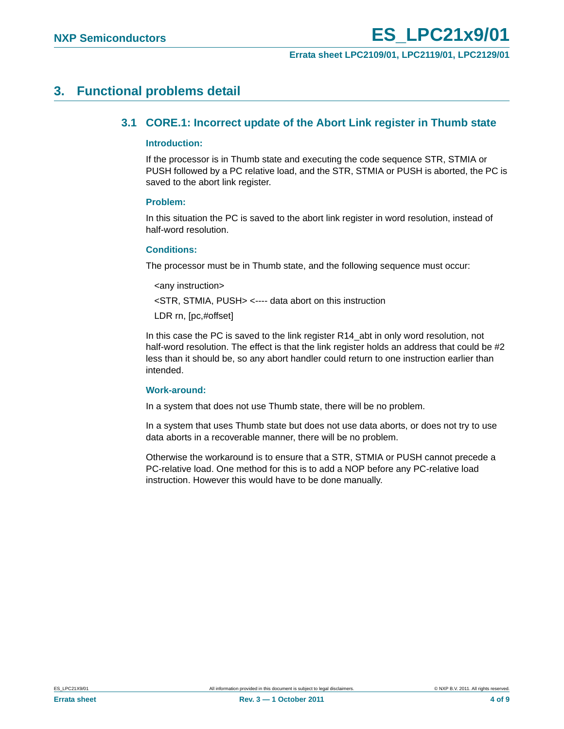# <span id="page-3-1"></span><span id="page-3-0"></span>**3. Functional problems detail**

### **3.1 CORE.1: Incorrect update of the Abort Link register in Thumb state**

#### <span id="page-3-2"></span>**Introduction:**

If the processor is in Thumb state and executing the code sequence STR, STMIA or PUSH followed by a PC relative load, and the STR, STMIA or PUSH is aborted, the PC is saved to the abort link register.

#### <span id="page-3-3"></span>**Problem:**

In this situation the PC is saved to the abort link register in word resolution, instead of half-word resolution.

#### <span id="page-3-4"></span>**Conditions:**

The processor must be in Thumb state, and the following sequence must occur:

<any instruction>

<STR, STMIA, PUSH> <---- data abort on this instruction

LDR rn, [pc,#offset]

In this case the PC is saved to the link register R14\_abt in only word resolution, not half-word resolution. The effect is that the link register holds an address that could be #2 less than it should be, so any abort handler could return to one instruction earlier than intended.

#### <span id="page-3-5"></span>**Work-around:**

In a system that does not use Thumb state, there will be no problem.

In a system that uses Thumb state but does not use data aborts, or does not try to use data aborts in a recoverable manner, there will be no problem.

Otherwise the workaround is to ensure that a STR, STMIA or PUSH cannot precede a PC-relative load. One method for this is to add a NOP before any PC-relative load instruction. However this would have to be done manually.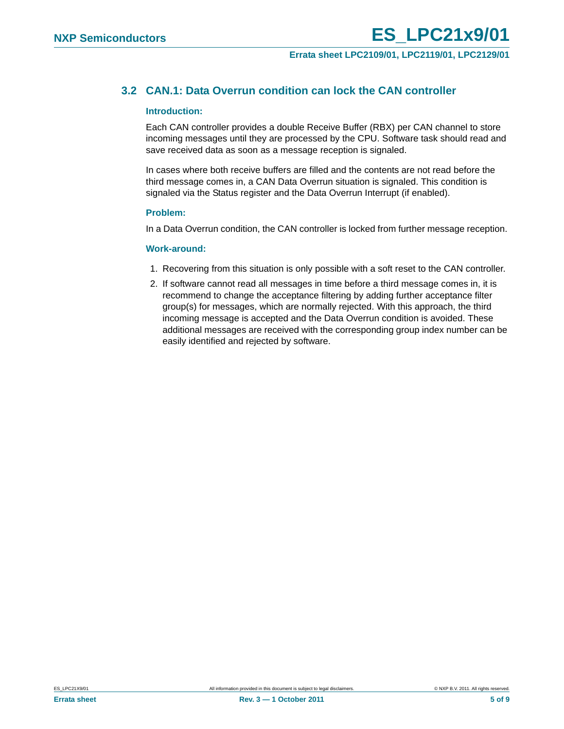## <span id="page-4-0"></span>**3.2 CAN.1: Data Overrun condition can lock the CAN controller**

#### <span id="page-4-1"></span>**Introduction:**

Each CAN controller provides a double Receive Buffer (RBX) per CAN channel to store incoming messages until they are processed by the CPU. Software task should read and save received data as soon as a message reception is signaled.

In cases where both receive buffers are filled and the contents are not read before the third message comes in, a CAN Data Overrun situation is signaled. This condition is signaled via the Status register and the Data Overrun Interrupt (if enabled).

#### <span id="page-4-2"></span>**Problem:**

In a Data Overrun condition, the CAN controller is locked from further message reception.

#### <span id="page-4-3"></span>**Work-around:**

- 1. Recovering from this situation is only possible with a soft reset to the CAN controller.
- 2. If software cannot read all messages in time before a third message comes in, it is recommend to change the acceptance filtering by adding further acceptance filter group(s) for messages, which are normally rejected. With this approach, the third incoming message is accepted and the Data Overrun condition is avoided. These additional messages are received with the corresponding group index number can be easily identified and rejected by software.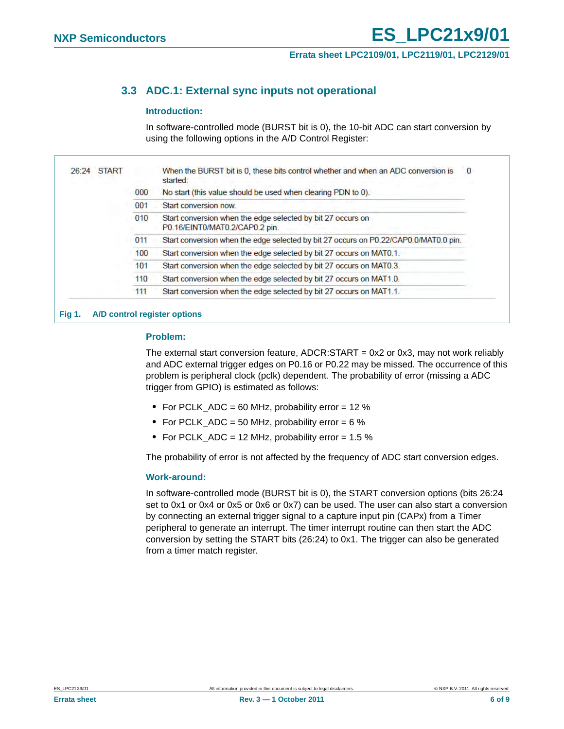# <span id="page-5-0"></span>**3.3 ADC.1: External sync inputs not operational**

#### <span id="page-5-1"></span>**Introduction:**

In software-controlled mode (BURST bit is 0), the 10-bit ADC can start conversion by using the following options in the A/D Control Register:

| <b>START</b><br>26:24 |     | When the BURST bit is 0, these bits control whether and when an ADC conversion is<br>0<br>started: |
|-----------------------|-----|----------------------------------------------------------------------------------------------------|
|                       | 000 | No start (this value should be used when clearing PDN to 0).                                       |
|                       | 001 | Start conversion now.                                                                              |
|                       | 010 | Start conversion when the edge selected by bit 27 occurs on<br>P0.16/EINT0/MAT0.2/CAP0.2 pin.      |
|                       | 011 | Start conversion when the edge selected by bit 27 occurs on P0.22/CAP0.0/MAT0.0 pin.               |
|                       | 100 | Start conversion when the edge selected by bit 27 occurs on MAT0.1.                                |
|                       | 101 | Start conversion when the edge selected by bit 27 occurs on MAT0.3.                                |
|                       | 110 | Start conversion when the edge selected by bit 27 occurs on MAT1.0.                                |
|                       | 111 | Start conversion when the edge selected by bit 27 occurs on MAT1.1.                                |

# <span id="page-5-2"></span>**Problem:**

The external start conversion feature,  $ADCR:START = 0x2$  or 0x3, may not work reliably and ADC external trigger edges on P0.16 or P0.22 may be missed. The occurrence of this problem is peripheral clock (pclk) dependent. The probability of error (missing a ADC trigger from GPIO) is estimated as follows:

- **•** For PCLK\_ADC = 60 MHz, probability error = 12 %
- For PCLK ADC = 50 MHz, probability error = 6 %
- **•** For PCLK\_ADC = 12 MHz, probability error = 1.5 %

The probability of error is not affected by the frequency of ADC start conversion edges.

#### <span id="page-5-3"></span>**Work-around:**

In software-controlled mode (BURST bit is 0), the START conversion options (bits 26:24 set to 0x1 or 0x4 or 0x5 or 0x6 or 0x7) can be used. The user can also start a conversion by connecting an external trigger signal to a capture input pin (CAPx) from a Timer peripheral to generate an interrupt. The timer interrupt routine can then start the ADC conversion by setting the START bits (26:24) to 0x1. The trigger can also be generated from a timer match register.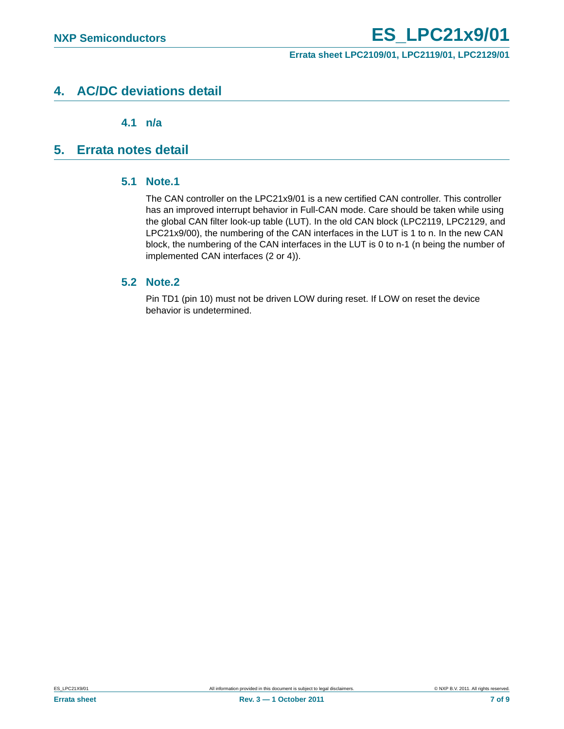# <span id="page-6-2"></span>**4. AC/DC deviations detail**

**4.1 n/a**

# <span id="page-6-4"></span><span id="page-6-3"></span><span id="page-6-1"></span>**5. Errata notes detail**

## **5.1 Note.1**

The CAN controller on the LPC21x9/01 is a new certified CAN controller. This controller has an improved interrupt behavior in Full-CAN mode. Care should be taken while using the global CAN filter look-up table (LUT). In the old CAN block (LPC2119, LPC2129, and LPC21x9/00), the numbering of the CAN interfaces in the LUT is 1 to n. In the new CAN block, the numbering of the CAN interfaces in the LUT is 0 to n-1 (n being the number of implemented CAN interfaces (2 or 4)).

## <span id="page-6-0"></span>**5.2 Note.2**

Pin TD1 (pin 10) must not be driven LOW during reset. If LOW on reset the device behavior is undetermined.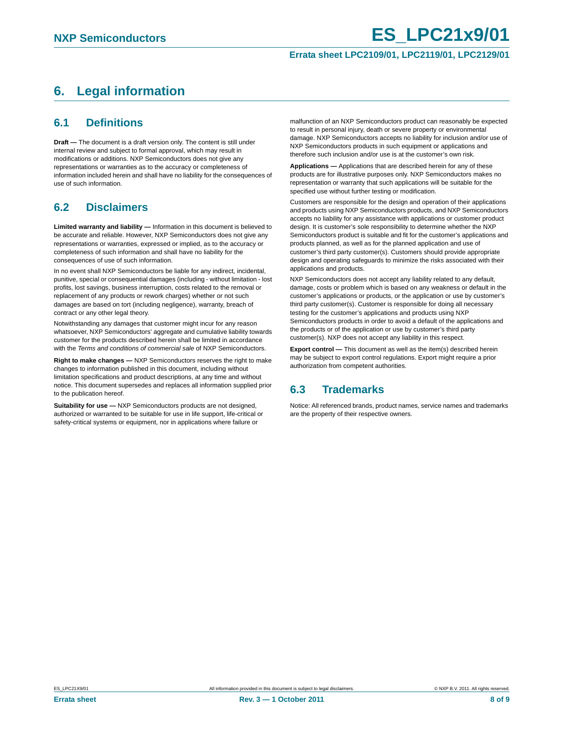# <span id="page-7-0"></span>**6. Legal information**

## <span id="page-7-1"></span>**6.1 Definitions**

**Draft —** The document is a draft version only. The content is still under internal review and subject to formal approval, which may result in modifications or additions. NXP Semiconductors does not give any representations or warranties as to the accuracy or completeness of information included herein and shall have no liability for the consequences of use of such information.

# <span id="page-7-2"></span>**6.2 Disclaimers**

**Limited warranty and liability —** Information in this document is believed to be accurate and reliable. However, NXP Semiconductors does not give any representations or warranties, expressed or implied, as to the accuracy or completeness of such information and shall have no liability for the consequences of use of such information.

In no event shall NXP Semiconductors be liable for any indirect, incidental, punitive, special or consequential damages (including - without limitation - lost profits, lost savings, business interruption, costs related to the removal or replacement of any products or rework charges) whether or not such damages are based on tort (including negligence), warranty, breach of contract or any other legal theory.

Notwithstanding any damages that customer might incur for any reason whatsoever, NXP Semiconductors' aggregate and cumulative liability towards customer for the products described herein shall be limited in accordance with the *Terms and conditions of commercial sale* of NXP Semiconductors.

**Right to make changes —** NXP Semiconductors reserves the right to make changes to information published in this document, including without limitation specifications and product descriptions, at any time and without notice. This document supersedes and replaces all information supplied prior to the publication hereof.

**Suitability for use —** NXP Semiconductors products are not designed, authorized or warranted to be suitable for use in life support, life-critical or safety-critical systems or equipment, nor in applications where failure or

malfunction of an NXP Semiconductors product can reasonably be expected to result in personal injury, death or severe property or environmental damage. NXP Semiconductors accepts no liability for inclusion and/or use of NXP Semiconductors products in such equipment or applications and therefore such inclusion and/or use is at the customer's own risk.

**Applications —** Applications that are described herein for any of these products are for illustrative purposes only. NXP Semiconductors makes no representation or warranty that such applications will be suitable for the specified use without further testing or modification.

Customers are responsible for the design and operation of their applications and products using NXP Semiconductors products, and NXP Semiconductors accepts no liability for any assistance with applications or customer product design. It is customer's sole responsibility to determine whether the NXP Semiconductors product is suitable and fit for the customer's applications and products planned, as well as for the planned application and use of customer's third party customer(s). Customers should provide appropriate design and operating safeguards to minimize the risks associated with their applications and products.

NXP Semiconductors does not accept any liability related to any default, damage, costs or problem which is based on any weakness or default in the customer's applications or products, or the application or use by customer's third party customer(s). Customer is responsible for doing all necessary testing for the customer's applications and products using NXP Semiconductors products in order to avoid a default of the applications and the products or of the application or use by customer's third party customer(s). NXP does not accept any liability in this respect.

**Export control —** This document as well as the item(s) described herein may be subject to export control regulations. Export might require a prior authorization from competent authorities.

## <span id="page-7-3"></span>**6.3 Trademarks**

Notice: All referenced brands, product names, service names and trademarks are the property of their respective owners.